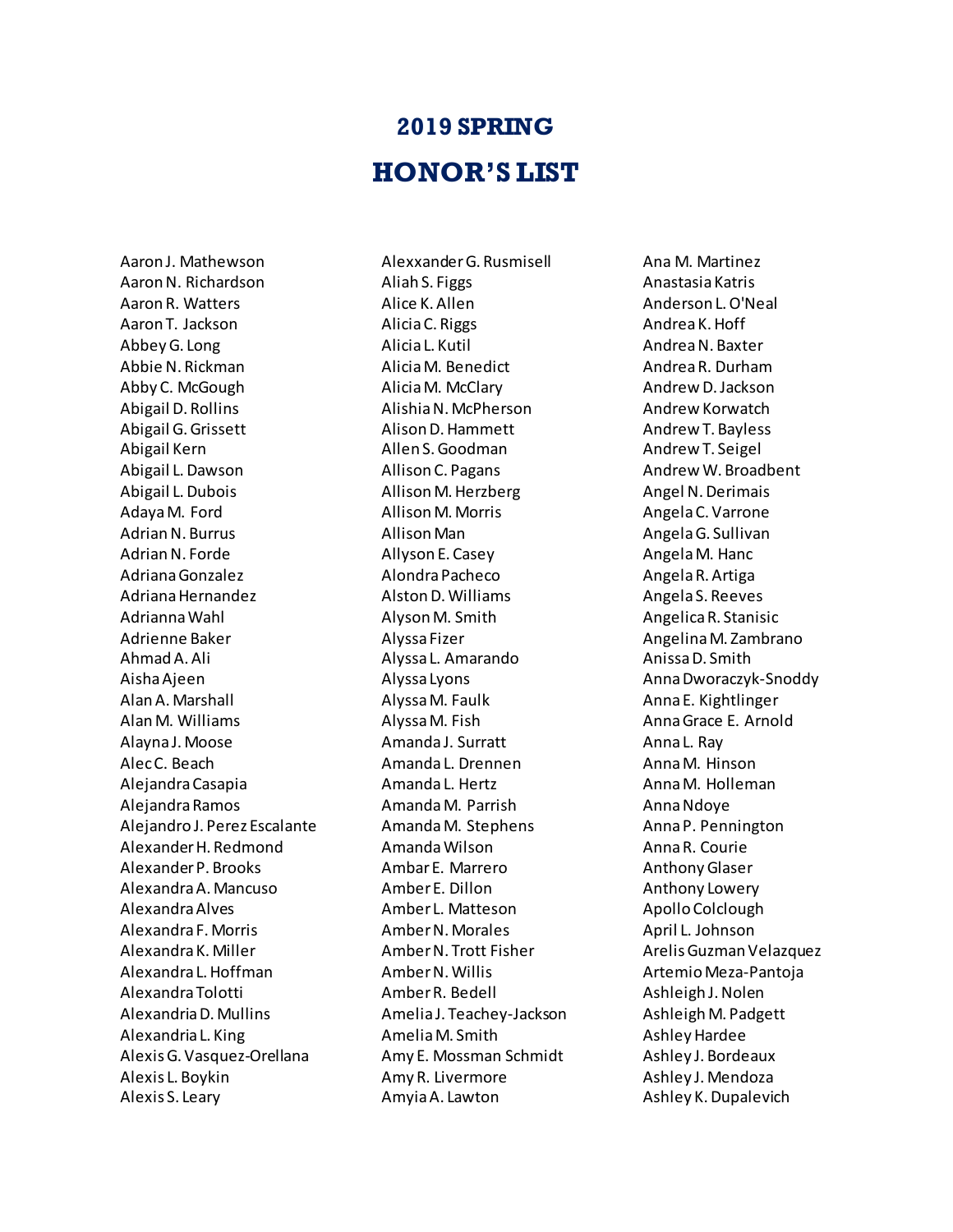## **2019 SPRING HONOR'S LIST**

Aaron J. Mathewson Aaron N. Richardson Aaron R. Watters Aaron T. Jackson Abbey G. Long Abbie N. Rickman Abby C. McGough Abigail D. Rollins Abigail G. Grissett Abigail Kern Abigail L. Dawson Abigail L. Dubois Adaya M. Ford Adrian N. Burrus Adrian N. Forde Adriana Gonzalez Adriana Hernandez Adrianna Wahl Adrienne Baker Ahmad A. Ali Aisha Ajeen Alan A. Marshall Alan M. Williams Alayna J. Moose Alec C. Beach Alejandra Casapia Alejandra Ramos Alejandro J. Perez Escalante Alexander H. Redmond Alexander P. Brooks Alexandra A. Mancuso Alexandra Alves Alexandra F. Morris Alexandra K. Miller Alexandra L. Hoffman Alexandra Tolotti Alexandria D. Mullins Alexandria L. King Alexis G. Vasquez-Orellana Alexis L. Boykin Alexis S. Leary

Alexxander G. Rusmisell Aliah S. Figgs Alice K. Allen Alicia C. Riggs Alicia L. Kutil Alicia M. Benedict Alicia M. McClary Alishia N. McPherson Alison D. Hammett Allen S. Goodman Allison C. Pagans Allison M. Herzberg Allison M. Morris Allison Man Allyson E. Casey Alondra Pacheco Alston D. Williams Alyson M. Smith Alyssa Fizer Alyssa L. Amarando Alyssa Lyons Alyssa M. Faulk Alyssa M. Fish Amanda J. Surratt Amanda L. Drennen Amanda L. Hertz Amanda M. Parrish Amanda M. Stephens Amanda Wilson Ambar E. Marrero Amber E. Dillon Amber L. Matteson Amber N. Morales Amber N. Trott Fisher Amber N. Willis Amber R. Bedell Amelia J. Teachey-Jackson Amelia M. Smith Amy E. Mossman Schmidt Amy R. Livermore Amyia A. Lawton

Ana M. Martinez Anastasia Katris Anderson L. O'Neal Andrea K. Hoff Andrea N. Baxter Andrea R. Durham Andrew D. Jackson Andrew Korwatch Andrew T. Bayless Andrew T. Seigel Andrew W. Broadbent Angel N. Derimais Angela C. Varrone Angela G. Sullivan Angela M. Hanc Angela R. Artiga Angela S. Reeves Angelica R. Stanisic Angelina M. Zambrano Anissa D. Smith Anna Dworaczyk-Snoddy Anna E. Kightlinger Anna Grace E. Arnold Anna L. Ray Anna M. Hinson Anna M. Holleman Anna Ndoye Anna P. Pennington Anna R. Courie Anthony Glaser Anthony Lowery Apollo Colclough April L. Johnson Arelis Guzman Velazquez Artemio Meza-Pantoja Ashleigh J. Nolen Ashleigh M. Padgett Ashley Hardee Ashley J. Bordeaux Ashley J. Mendoza Ashley K. Dupalevich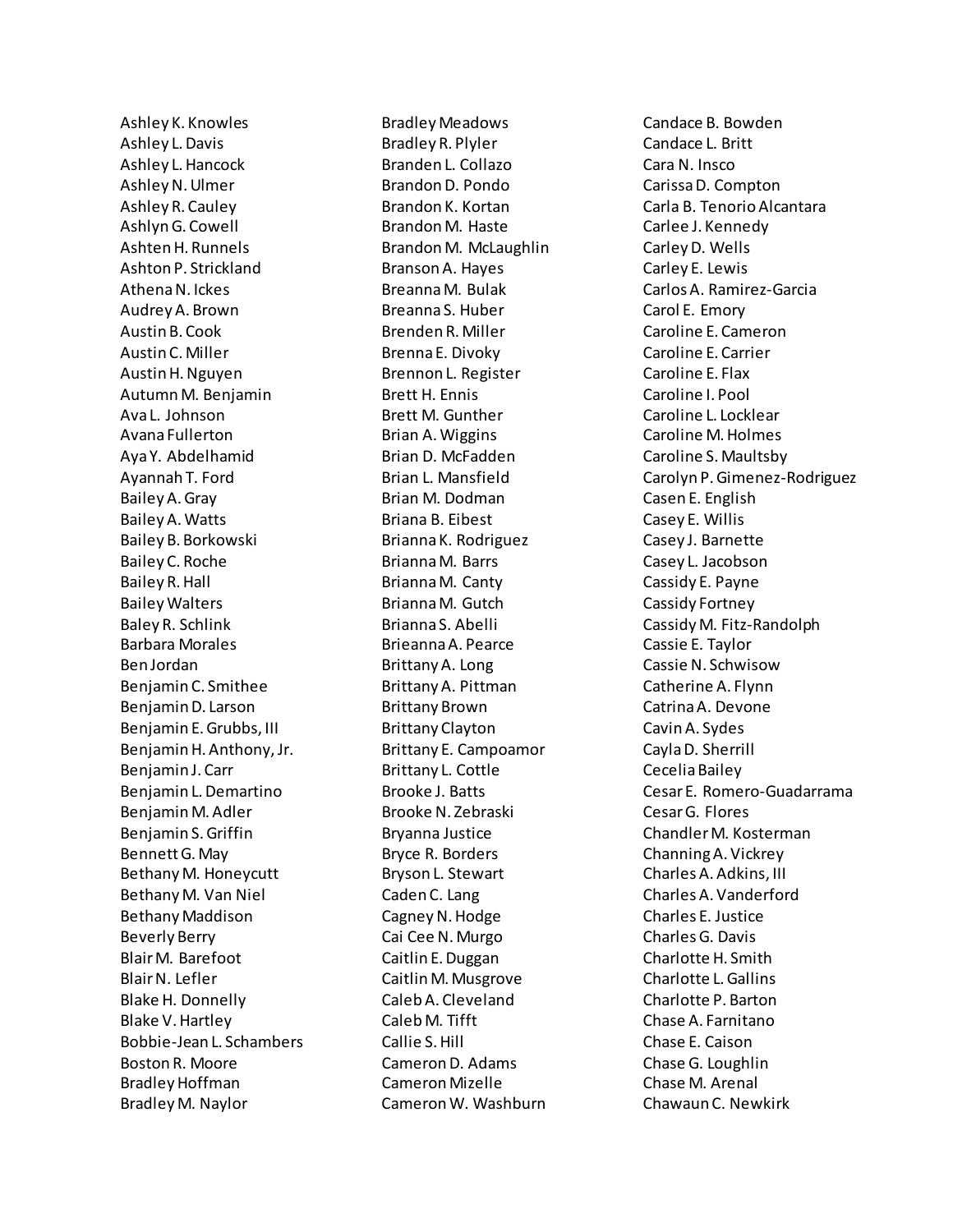Ashley K. Knowles Ashley L. Davis Ashley L. Hancock Ashley N. Ulmer Ashley R. Cauley Ashlyn G. Cowell Ashten H. Runnels Ashton P. Strickland Athena N. Ickes Audrey A. Brown Austin B. Cook Austin C. Miller Austin H. Nguyen Autumn M. Benjamin Ava L. Johnson Avana Fullerton Aya Y. Abdelhamid Ayannah T. Ford Bailey A. Gray Bailey A. Watts Bailey B. Borkowski Bailey C. Roche Bailey R. Hall Bailey Walters Baley R. Schlink Barbara Morales Ben Jordan Benjamin C. Smithee Benjamin D. Larson Benjamin E. Grubbs, III Benjamin H. Anthony, Jr. Benjamin J. Carr Benjamin L. Demartino Benjamin M. Adler Benjamin S.Griffin Bennett G. May Bethany M. Honeycutt Bethany M. Van Niel Bethany Maddison Beverly Berry Blair M. Barefoot Blair N. Lefler Blake H. Donnelly Blake V. Hartley Bobbie-Jean L. Schambers Boston R. Moore Bradley Hoffman Bradley M. Naylor

Bradley Meadows Bradley R. Plyler Branden L. Collazo Brandon D. Pondo Brandon K. Kortan Brandon M. Haste Brandon M. McLaughlin Branson A. Hayes Breanna M. Bulak Breanna S. Huber Brenden R. Miller Brenna E. Divoky Brennon L. Register Brett H. Ennis Brett M. Gunther Brian A. Wiggins Brian D. McFadden Brian L. Mansfield Brian M. Dodman Briana B. Eibest Brianna K. Rodriguez Brianna M. Barrs Brianna M. Canty Brianna M. Gutch Brianna S. Abelli Brieanna A. Pearce Brittany A. Long Brittany A. Pittman Brittany Brown Brittany Clayton Brittany E. Campoamor Brittany L. Cottle Brooke J. Batts Brooke N. Zebraski Bryanna Justice Bryce R. Borders Bryson L. Stewart Caden C. Lang Cagney N. Hodge Cai Cee N. Murgo Caitlin E. Duggan Caitlin M. Musgrove Caleb A. Cleveland Caleb M. Tifft Callie S. Hill Cameron D. Adams Cameron Mizelle Cameron W. Washburn

Candace B. Bowden Candace L. Britt Cara N. Insco Carissa D. Compton Carla B. Tenorio Alcantara Carlee J. Kennedy Carley D. Wells Carley E. Lewis Carlos A. Ramirez-Garcia Carol E. Emory Caroline E. Cameron Caroline E. Carrier Caroline E. Flax Caroline I. Pool Caroline L. Locklear Caroline M. Holmes Caroline S. Maultsby Carolyn P. Gimenez-Rodriguez Casen E. English Casey E. Willis Casey J. Barnette Casey L. Jacobson Cassidy E. Payne Cassidy Fortney Cassidy M. Fitz-Randolph Cassie E. Taylor Cassie N. Schwisow Catherine A. Flynn Catrina A. Devone Cavin A. Sydes Cayla D. Sherrill Cecelia Bailey Cesar E. Romero-Guadarrama Cesar G. Flores Chandler M. Kosterman Channing A. Vickrey Charles A. Adkins, III Charles A. Vanderford Charles E. Justice Charles G. Davis Charlotte H. Smith Charlotte L. Gallins Charlotte P. Barton Chase A. Farnitano Chase E. Caison Chase G. Loughlin Chase M. Arenal Chawaun C. Newkirk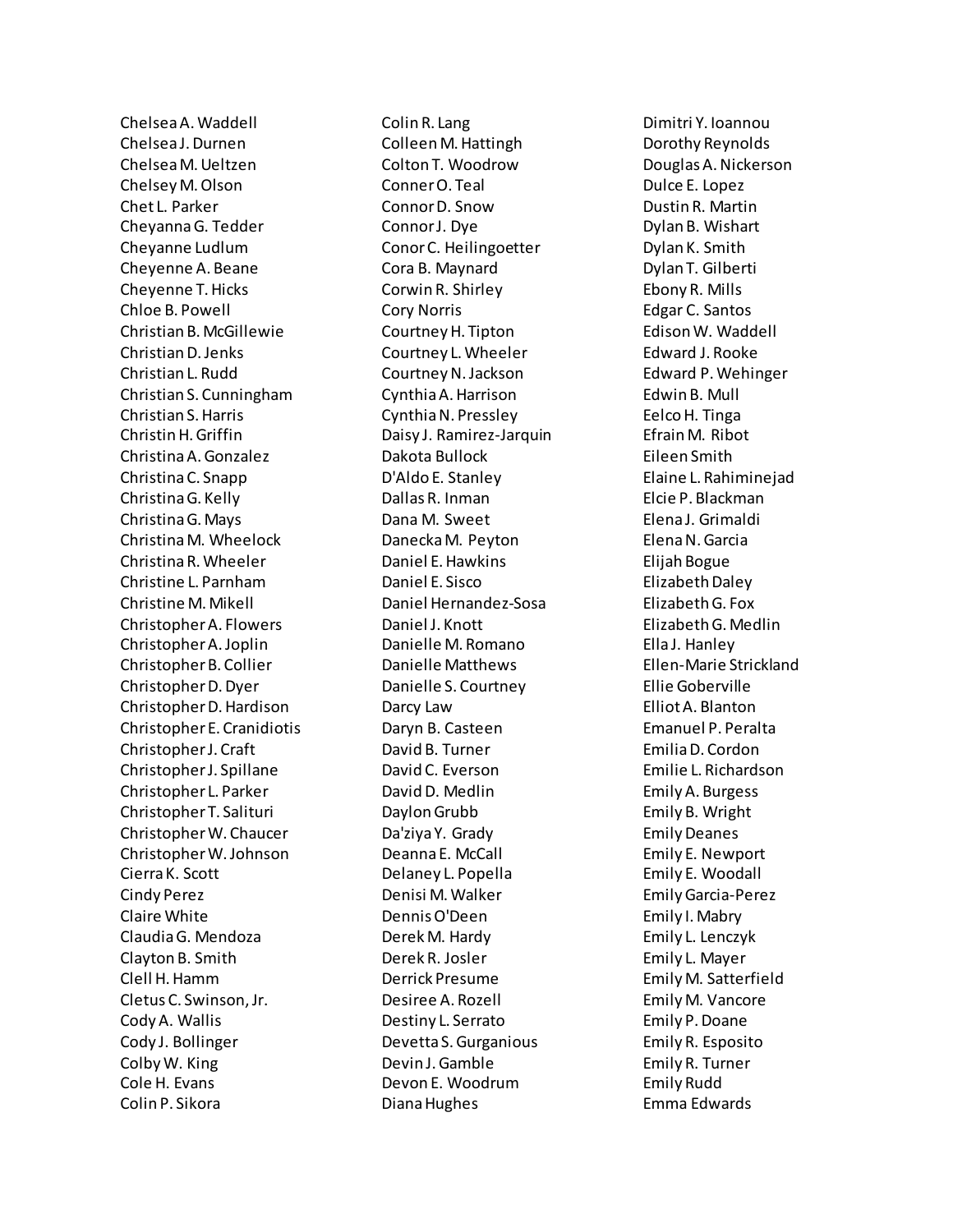Chelsea A. Waddell Chelsea J. Durnen Chelsea M. Ueltzen Chelsey M. Olson Chet L. Parker Cheyanna G. Tedder Cheyanne Ludlum Cheyenne A. Beane Cheyenne T. Hicks Chloe B. Powell Christian B. McGillewie Christian D. Jenks Christian L. Rudd Christian S. Cunningham Christian S. Harris Christin H. Griffin Christina A. Gonzalez Christina C. Snapp Christina G. Kelly Christina G. Mays Christina M. Wheelock Christina R. Wheeler Christine L. Parnham Christine M. Mikell Christopher A. Flowers Christopher A. Joplin Christopher B. Collier Christopher D. Dyer Christopher D. Hardison Christopher E. Cranidiotis Christopher J. Craft Christopher J. Spillane Christopher L. Parker Christopher T. Salituri Christopher W. Chaucer Christopher W. Johnson Cierra K. Scott Cindy Perez Claire White Claudia G. Mendoza Clayton B. Smith Clell H. Hamm Cletus C. Swinson, Jr. Cody A. Wallis Cody J. Bollinger Colby W. King Cole H. Evans Colin P. Sikora

Colin R. Lang Colleen M. Hattingh Colton T. Woodrow Conner O. Teal Connor D. Snow Connor J. Dye Conor C. Heilingoetter Cora B. Maynard Corwin R. Shirley Cory Norris Courtney H. Tipton Courtney L. Wheeler Courtney N. Jackson Cynthia A. Harrison Cynthia N. Pressley Daisy J. Ramirez-Jarquin Dakota Bullock D'Aldo E. Stanley Dallas R. Inman Dana M. Sweet Danecka M. Peyton Daniel E. Hawkins Daniel E. Sisco Daniel Hernandez-Sosa Daniel J. Knott Danielle M. Romano Danielle Matthews Danielle S. Courtney Darcy Law Daryn B. Casteen David B. Turner David C. Everson David D. Medlin Daylon Grubb Da'ziya Y. Grady Deanna E. McCall Delaney L. Popella Denisi M. Walker Dennis O'Deen Derek M. Hardy Derek R. Josler Derrick Presume Desiree A. Rozell Destiny L. Serrato Devetta S. Gurganious Devin J. Gamble Devon E. Woodrum Diana Hughes

Dimitri Y. Ioannou Dorothy Reynolds Douglas A. Nickerson Dulce E. Lopez Dustin R. Martin Dylan B. Wishart Dylan K. Smith Dylan T. Gilberti Ebony R. Mills Edgar C. Santos Edison W. Waddell Edward J. Rooke Edward P. Wehinger Edwin B. Mull Eelco H. Tinga Efrain M. Ribot Eileen Smith Elaine L. Rahiminejad Elcie P. Blackman Elena J. Grimaldi Elena N. Garcia Elijah Bogue Elizabeth Daley Elizabeth G. Fox Elizabeth G. Medlin Ella J. Hanley Ellen-Marie Strickland Ellie Goberville Elliot A. Blanton Emanuel P. Peralta Emilia D. Cordon Emilie L. Richardson Emily A. Burgess Emily B. Wright Emily Deanes Emily E. Newport Emily E. Woodall Emily Garcia-Perez Emily I. Mabry Emily L. Lenczyk Emily L. Mayer Emily M. Satterfield Emily M. Vancore Emily P. Doane Emily R. Esposito Emily R. Turner Emily Rudd Emma Edwards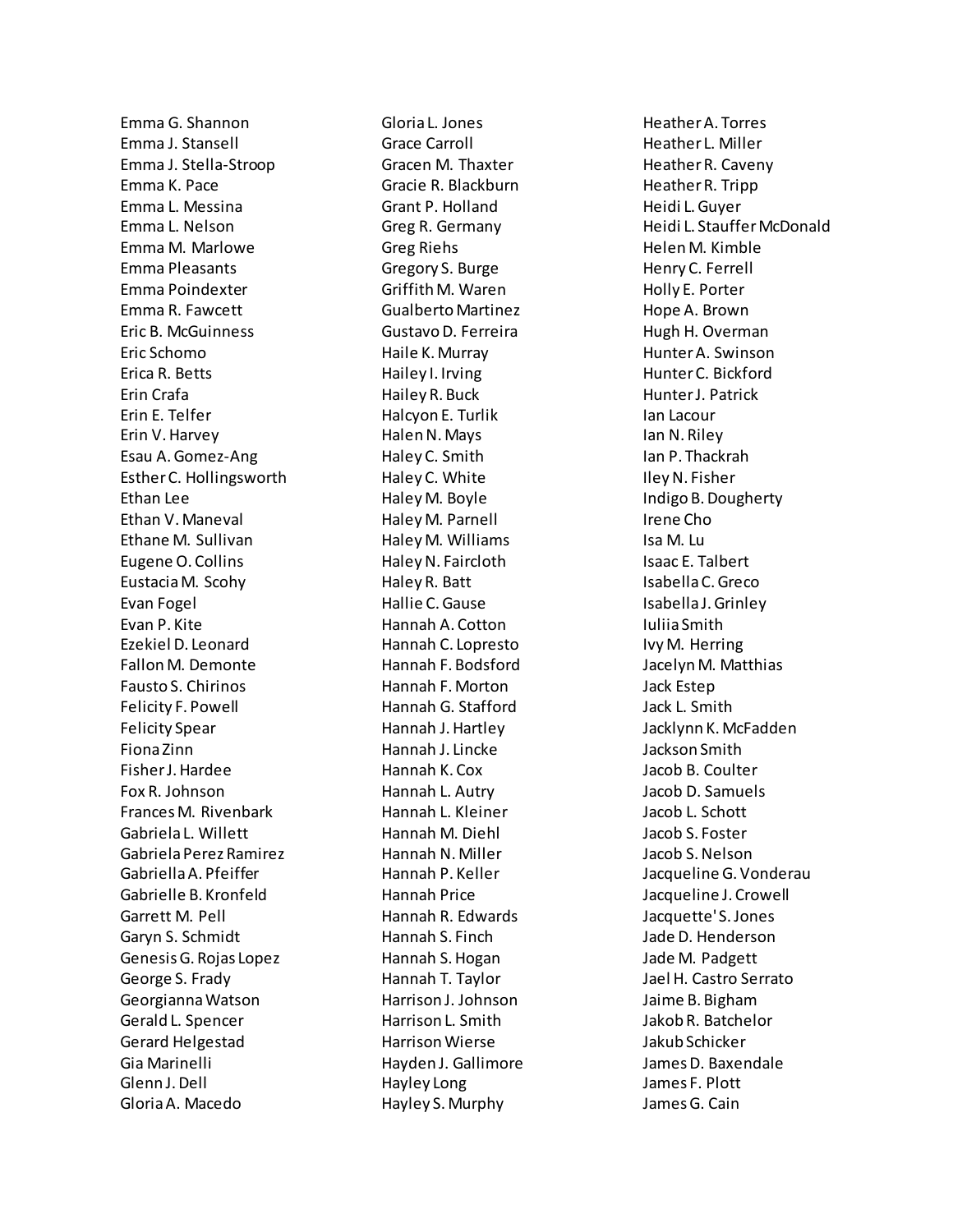Emma G. Shannon Emma J. Stansell Emma J. Stella-Stroop Emma K. Pace Emma L. Messina Emma L. Nelson Emma M. Marlowe Emma Pleasants Emma Poindexter Emma R. Fawcett Eric B. McGuinness Eric Schomo Erica R. Betts Erin Crafa Erin E. Telfer Erin V. Harvey Esau A. Gomez-Ang Esther C. Hollingsworth Ethan Lee Ethan V. Maneval Ethane M. Sullivan Eugene O. Collins Eustacia M. Scohy Evan Fogel Evan P. Kite Ezekiel D. Leonard Fallon M. Demonte Fausto S. Chirinos Felicity F. Powell Felicity Spear Fiona Zinn Fisher J. Hardee Fox R. Johnson Frances M. Rivenbark Gabriela L. Willett Gabriela Perez Ramirez Gabriella A. Pfeiffer Gabrielle B. Kronfeld Garrett M. Pell Garyn S. Schmidt Genesis G. Rojas Lopez George S. Frady Georgianna Watson Gerald L. Spencer Gerard Helgestad Gia Marinelli Glenn J. Dell Gloria A. Macedo

Gloria L. Jones Grace Carroll Gracen M. Thaxter Gracie R. Blackburn Grant P. Holland Greg R. Germany Greg Riehs Gregory S. Burge Griffith M. Waren Gualberto Martinez Gustavo D. Ferreira Haile K. Murray Hailey I. Irving Hailey R. Buck Halcyon E. Turlik Halen N. Mays Haley C. Smith Haley C. White Haley M. Boyle Haley M. Parnell Haley M. Williams Haley N. Faircloth Haley R. Batt Hallie C. Gause Hannah A. Cotton Hannah C. Lopresto Hannah F. Bodsford Hannah F. Morton Hannah G. Stafford Hannah J. Hartley Hannah J. Lincke Hannah K. Cox Hannah L. Autry Hannah L. Kleiner Hannah M. Diehl Hannah N. Miller Hannah P. Keller Hannah Price Hannah R. Edwards Hannah S. Finch Hannah S. Hogan Hannah T. Taylor Harrison J. Johnson Harrison L. Smith Harrison Wierse Hayden J. Gallimore Hayley Long Hayley S. Murphy

Heather A. Torres Heather L. Miller Heather R. Caveny Heather R. Tripp Heidi L. Guyer Heidi L. Stauffer McDonald Helen M. Kimble Henry C. Ferrell Holly E. Porter Hope A. Brown Hugh H. Overman Hunter A. Swinson Hunter C. Bickford Hunter J. Patrick Ian Lacour Ian N. Riley Ian P. Thackrah Iley N. Fisher Indigo B. Dougherty Irene Cho Isa M. Lu Isaac E. Talbert Isabella C. Greco Isabella J. Grinley Iuliia Smith Ivy M. Herring Jacelyn M. Matthias Jack Estep Jack L. Smith Jacklynn K. McFadden Jackson Smith Jacob B. Coulter Jacob D. Samuels Jacob L. Schott Jacob S. Foster Jacob S. Nelson Jacqueline G. Vonderau Jacqueline J. Crowell Jacquette' S. Jones Jade D. Henderson Jade M. Padgett Jael H. Castro Serrato Jaime B. Bigham Jakob R. Batchelor Jakub Schicker James D. Baxendale James F. Plott James G. Cain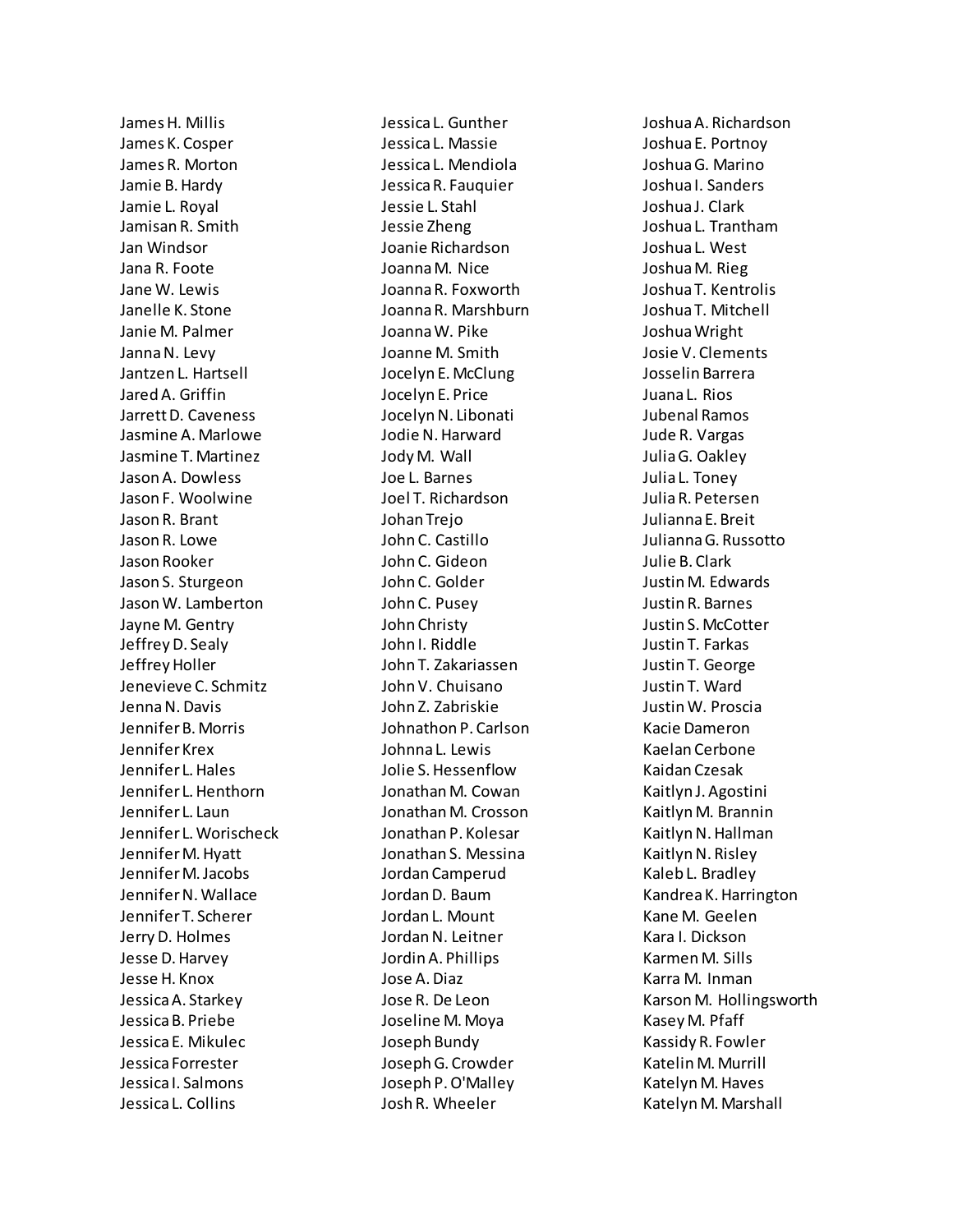James H. Millis James K. Cosper James R. Morton Jamie B. Hardy Jamie L. Royal Jamisan R. Smith Jan Windsor Jana R. Foote Jane W. Lewis Janelle K. Stone Janie M. Palmer Janna N. Levy Jantzen L. Hartsell Jared A. Griffin Jarrett D. Caveness Jasmine A. Marlowe Jasmine T. Martinez Jason A. Dowless Jason F. Woolwine Jason R. Brant Jason R. Lowe Jason Rooker Jason S. Sturgeon Jason W. Lamberton Jayne M. Gentry Jeffrey D. Sealy Jeffrey Holler Jenevieve C. Schmitz Jenna N. Davis Jennifer B. Morris Jennifer Krex Jennifer L. Hales Jennifer L. Henthorn Jennifer L. Laun Jennifer L. Worischeck Jennifer M. Hyatt Jennifer M. Jacobs Jennifer N. Wallace Jennifer T. Scherer Jerry D. Holmes Jesse D. Harvey Jesse H. Knox Jessica A. Starkey Jessica B. Priebe Jessica E. Mikulec Jessica Forrester Jessica I. Salmons Jessica L. Collins

Jessica L. Gunther Jessica L. Massie Jessica L. Mendiola Jessica R. Fauquier Jessie L. Stahl Jessie Zheng Joanie Richardson Joanna M. Nice Joanna R. Foxworth Joanna R. Marshburn Joanna W. Pike Joanne M. Smith Jocelyn E. McClung Jocelyn E. Price Jocelyn N. Libonati Jodie N. Harward Jody M. Wall Joe L. Barnes Joel T. Richardson Johan Trejo John C. Castillo John C. Gideon John C. Golder John C. Pusey John Christy John I. Riddle John T. Zakariassen John V. Chuisano John Z. Zabriskie Johnathon P. Carlson Johnna L. Lewis Jolie S. Hessenflow Jonathan M. Cowan Jonathan M. Crosson Jonathan P. Kolesar Jonathan S. Messina Jordan Camperud Jordan D. Baum Jordan L. Mount Jordan N. Leitner Jordin A. Phillips Jose A. Diaz Jose R. De Leon Joseline M. Moya Joseph Bundy Joseph G. Crowder Joseph P. O'Malley Josh R. Wheeler

Joshua A. Richardson Joshua E. Portnoy Joshua G. Marino Joshua I. Sanders Joshua J. Clark Joshua L. Trantham Joshua L. West Joshua M. Rieg Joshua T. Kentrolis Joshua T. Mitchell Joshua Wright Josie V. Clements Josselin Barrera Juana L. Rios Jubenal Ramos Jude R. Vargas Julia G. Oakley Julia L. Toney Julia R. Petersen Julianna E. Breit Julianna G. Russotto Julie B. Clark Justin M. Edwards Justin R. Barnes Justin S. McCotter Justin T. Farkas Justin T. George Justin T. Ward Justin W. Proscia Kacie Dameron Kaelan Cerbone Kaidan Czesak Kaitlyn J. Agostini Kaitlyn M. Brannin Kaitlyn N. Hallman Kaitlyn N. Risley Kaleb L. Bradley Kandrea K. Harrington Kane M. Geelen Kara I. Dickson Karmen M. Sills Karra M. Inman Karson M. Hollingsworth Kasey M. Pfaff Kassidy R. Fowler Katelin M. Murrill Katelyn M. Haves Katelyn M. Marshall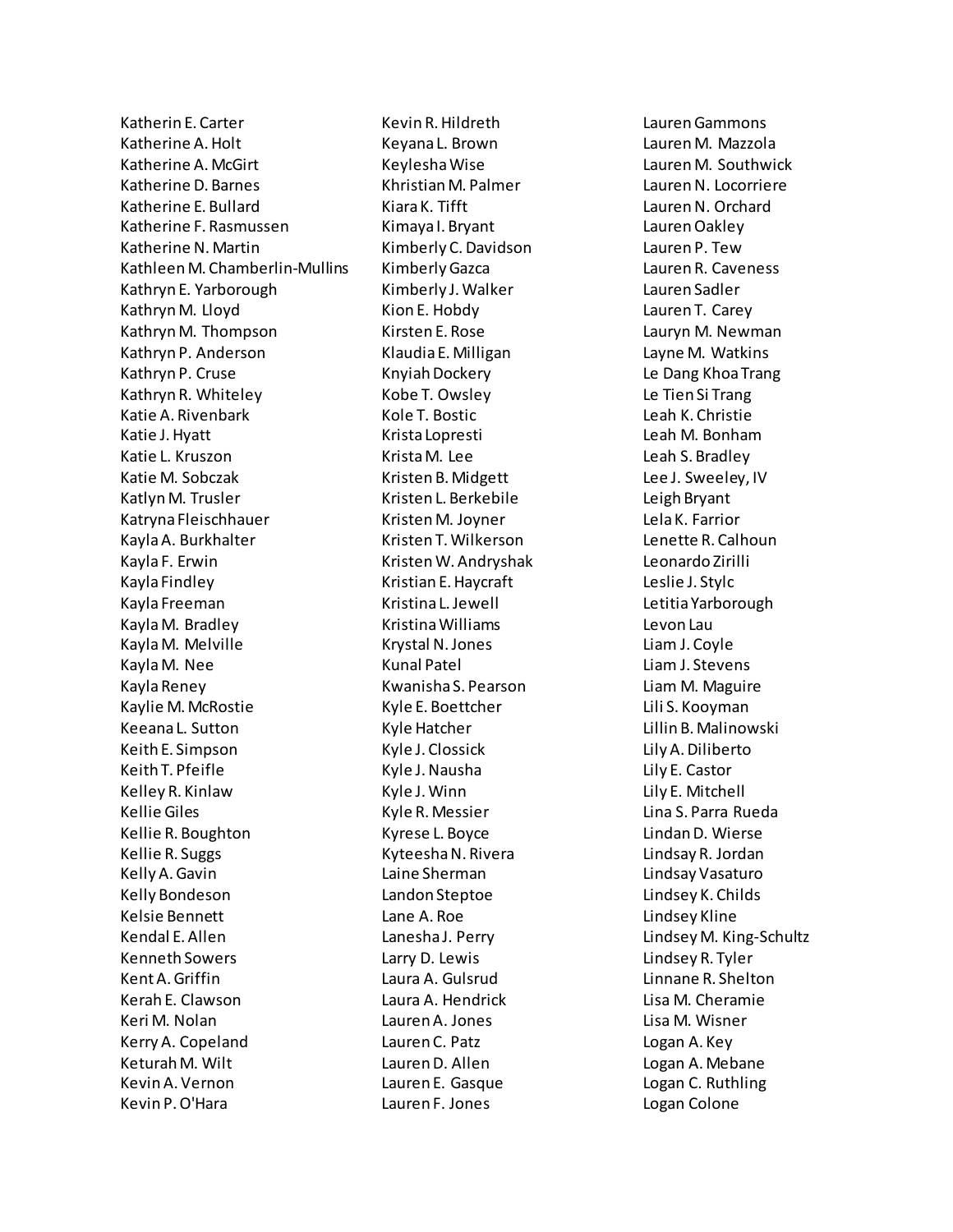Katherin E. Carter Katherine A. Holt Katherine A. McGirt Katherine D. Barnes Katherine E. Bullard Katherine F. Rasmussen Katherine N. Martin Kathleen M. Chamberlin-Mullins Kathryn E. Yarborough Kathryn M. Lloyd Kathryn M. Thompson Kathryn P. Anderson Kathryn P. Cruse Kathryn R. Whiteley Katie A. Rivenbark Katie J. Hyatt Katie L. Kruszon Katie M. Sobczak Katlyn M. Trusler Katryna Fleischhauer Kayla A. Burkhalter Kayla F. Erwin Kayla Findley Kayla Freeman Kayla M. Bradley Kayla M. Melville Kayla M. Nee Kayla Reney Kaylie M. McRostie Keeana L. Sutton Keith E. Simpson Keith T. Pfeifle Kelley R. Kinlaw Kellie Giles Kellie R. Boughton Kellie R. Suggs Kelly A. Gavin Kelly Bondeson Kelsie Bennett Kendal E. Allen Kenneth Sowers Kent A. Griffin Kerah E. Clawson Keri M. Nolan Kerry A. Copeland Keturah M. Wilt Kevin A. Vernon Kevin P. O'Hara

Kevin R. Hildreth Keyana L. Brown Keylesha Wise Khristian M. Palmer Kiara K. Tifft Kimaya I. Bryant Kimberly C. Davidson Kimberly Gazca Kimberly J. Walker Kion E. Hobdy Kirsten E. Rose Klaudia E. Milligan Knyiah Dockery Kobe T. Owsley Kole T. Bostic Krista Lopresti Krista M. Lee Kristen B. Midgett Kristen L. Berkebile Kristen M. Joyner Kristen T. Wilkerson Kristen W. Andryshak Kristian E. Haycraft Kristina L. Jewell Kristina Williams Krystal N. Jones Kunal Patel Kwanisha S. Pearson Kyle E. Boettcher Kyle Hatcher Kyle J. Clossick Kyle J. Nausha Kyle J. Winn Kyle R. Messier Kyrese L. Boyce Kyteesha N. Rivera Laine Sherman Landon Steptoe Lane A. Roe Lanesha J. Perry Larry D. Lewis Laura A. Gulsrud Laura A. Hendrick Lauren A. Jones Lauren C. Patz Lauren D. Allen Lauren E. Gasque Lauren F. Jones

Lauren Gammons Lauren M. Mazzola Lauren M. Southwick Lauren N. Locorriere Lauren N. Orchard Lauren Oakley Lauren P. Tew Lauren R. Caveness Lauren Sadler Lauren T. Carey Lauryn M. Newman Layne M. Watkins Le Dang Khoa Trang Le Tien Si Trang Leah K. Christie Leah M. Bonham Leah S. Bradley Lee J. Sweeley, IV Leigh Bryant Lela K. Farrior Lenette R. Calhoun Leonardo Zirilli Leslie J. Stylc Letitia Yarborough Levon Lau Liam J. Coyle Liam J. Stevens Liam M. Maguire Lili S. Kooyman Lillin B. Malinowski Lily A. Diliberto Lily E. Castor Lily E. Mitchell Lina S. Parra Rueda Lindan D. Wierse Lindsay R. Jordan Lindsay Vasaturo Lindsey K. Childs Lindsey Kline Lindsey M. King-Schultz Lindsey R. Tyler Linnane R. Shelton Lisa M. Cheramie Lisa M. Wisner Logan A. Key Logan A. Mebane Logan C. Ruthling Logan Colone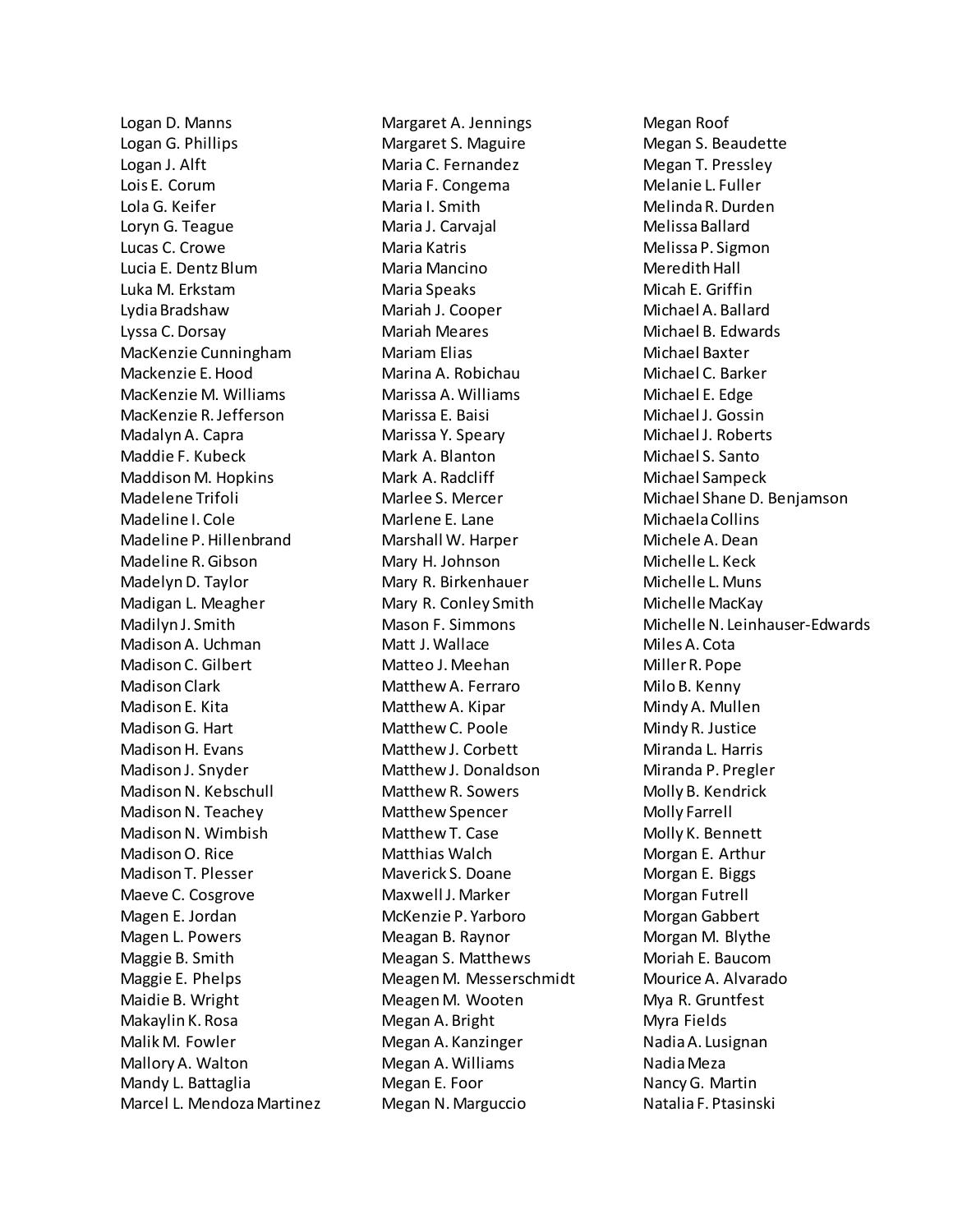Logan D. Manns Logan G. Phillips Logan J. Alft Lois E. Corum Lola G. Keifer Loryn G. Teague Lucas C. Crowe Lucia E. Dentz Blum Luka M. Erkstam Lydia Bradshaw Lyssa C. Dorsay MacKenzie Cunningham Mackenzie E. Hood MacKenzie M. Williams MacKenzie R. Jefferson Madalyn A. Capra Maddie F. Kubeck Maddison M. Hopkins Madelene Trifoli Madeline I. Cole Madeline P. Hillenbrand Madeline R. Gibson Madelyn D. Taylor Madigan L. Meagher Madilyn J. Smith Madison A. Uchman Madison C. Gilbert Madison Clark Madison E. Kita Madison G. Hart Madison H. Evans Madison J. Snyder Madison N. Kebschull Madison N. Teachey Madison N. Wimbish Madison O. Rice Madison T. Plesser Maeve C. Cosgrove Magen E. Jordan Magen L. Powers Maggie B. Smith Maggie E. Phelps Maidie B. Wright Makaylin K. Rosa Malik M. Fowler Mallory A. Walton Mandy L. Battaglia Marcel L. Mendoza Martinez Margaret A. Jennings Margaret S. Maguire Maria C. Fernandez Maria F. Congema Maria I. Smith Maria J. Carvajal Maria Katris Maria Mancino Maria Speaks Mariah J. Cooper Mariah Meares Mariam Elias Marina A. Robichau Marissa A. Williams Marissa E. Baisi Marissa Y. Speary Mark A. Blanton Mark A. Radcliff Marlee S. Mercer Marlene E. Lane Marshall W. Harper Mary H. Johnson Mary R. Birkenhauer Mary R. Conley Smith Mason F. Simmons Matt J. Wallace Matteo J. Meehan Matthew A. Ferraro Matthew A. Kipar Matthew C. Poole Matthew J. Corbett Matthew J. Donaldson Matthew R. Sowers Matthew Spencer Matthew T. Case Matthias Walch Maverick S. Doane Maxwell J. Marker McKenzie P. Yarboro Meagan B. Raynor Meagan S. Matthews Meagen M. Messerschmidt Meagen M. Wooten Megan A. Bright Megan A. Kanzinger Megan A. Williams Megan E. Foor Megan N. Marguccio

Megan Roof Megan S. Beaudette Megan T. Pressley Melanie L. Fuller Melinda R. Durden Melissa Ballard Melissa P. Sigmon Meredith Hall Micah E. Griffin Michael A. Ballard Michael B. Edwards Michael Baxter Michael C. Barker Michael E. Edge Michael J. Gossin Michael J. Roberts Michael S. Santo Michael Sampeck Michael Shane D. Benjamson Michaela Collins Michele A. Dean Michelle L. Keck Michelle L. Muns Michelle MacKay Michelle N. Leinhauser-Edwards Miles A. Cota Miller R. Pope Milo B. Kenny Mindy A. Mullen Mindy R. Justice Miranda L. Harris Miranda P. Pregler Molly B. Kendrick Molly Farrell Molly K. Bennett Morgan E. Arthur Morgan E. Biggs Morgan Futrell Morgan Gabbert Morgan M. Blythe Moriah E. Baucom Mourice A. Alvarado Mya R. Gruntfest Myra Fields Nadia A. Lusignan Nadia Meza Nancy G. Martin Natalia F. Ptasinski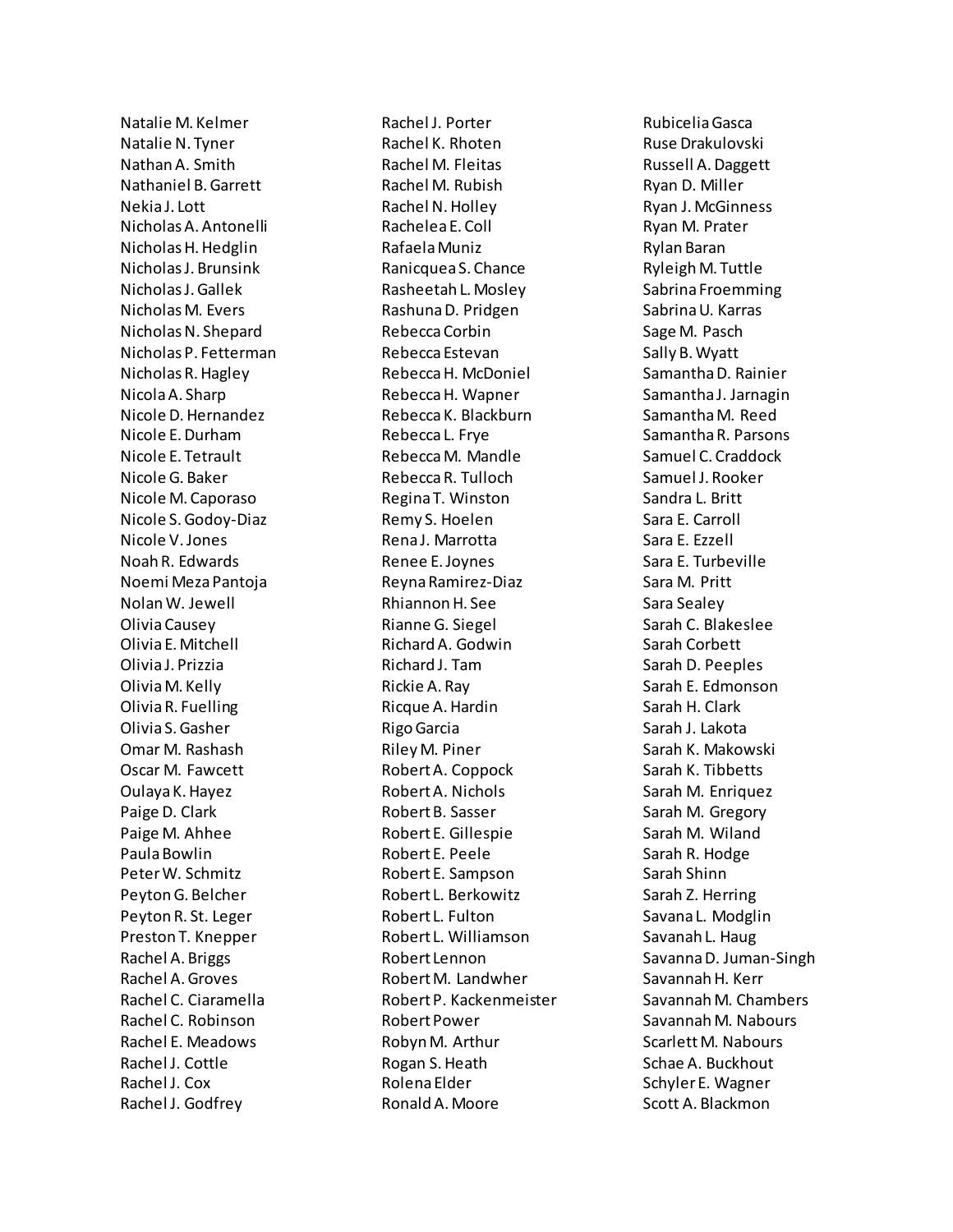Natalie M. Kelmer Natalie N. Tyner Nathan A. Smith Nathaniel B. Garrett Nekia J. Lott Nicholas A. Antonelli Nicholas H. Hedglin Nicholas J. Brunsink Nicholas J. Gallek Nicholas M. Evers Nicholas N. Shepard Nicholas P. Fetterman Nicholas R. Hagley Nicola A. Sharp Nicole D. Hernandez Nicole E. Durham Nicole E. Tetrault Nicole G. Baker Nicole M. Caporaso Nicole S. Godoy-Diaz Nicole V. Jones Noah R. Edwards Noemi Meza Pantoja Nolan W. Jewell Olivia Causey Olivia E. Mitchell Olivia J. Prizzia Olivia M. Kelly Olivia R. Fuelling Olivia S. Gasher Omar M. Rashash Oscar M. Fawcett Oulaya K. Hayez Paige D. Clark Paige M. Ahhee Paula Bowlin Peter W. Schmitz Peyton G. Belcher Peyton R. St. Leger Preston T. Knepper Rachel A. Briggs Rachel A. Groves Rachel C. Ciaramella Rachel C. Robinson Rachel E. Meadows Rachel J. Cottle Rachel J. Cox Rachel J. Godfrey

Rachel J. Porter Rachel K. Rhoten Rachel M. Fleitas Rachel M. Rubish Rachel N. Holley Rachelea E. Coll Rafaela Muniz Ranicquea S. Chance Rasheetah L. Mosley Rashuna D. Pridgen Rebecca Corbin Rebecca Estevan Rebecca H. McDoniel Rebecca H. Wapner Rebecca K. Blackburn Rebecca L. Frye Rebecca M. Mandle Rebecca R. Tulloch Regina T. Winston Remy S. Hoelen Rena J. Marrotta Renee E. Joynes Reyna Ramirez-Diaz Rhiannon H. See Rianne G. Siegel Richard A. Godwin Richard J. Tam Rickie A. Ray Ricque A. Hardin Rigo Garcia Riley M. Piner Robert A. Coppock Robert A. Nichols Robert B. Sasser Robert E. Gillespie Robert E. Peele Robert E. Sampson Robert L. Berkowitz Robert L. Fulton Robert L. Williamson Robert Lennon Robert M. Landwher Robert P. Kackenmeister Robert Power Robyn M. Arthur Rogan S. Heath Rolena Elder Ronald A. Moore

Rubicelia Gasca Ruse Drakulovski Russell A. Daggett Ryan D. Miller Ryan J. McGinness Ryan M. Prater Rylan Baran Ryleigh M. Tuttle Sabrina Froemming Sabrina U. Karras Sage M. Pasch Sally B. Wyatt Samantha D. Rainier Samantha J. Jarnagin Samantha M. Reed Samantha R. Parsons Samuel C. Craddock Samuel J. Rooker Sandra L. Britt Sara E. Carroll Sara E. Ezzell Sara E. Turbeville Sara M. Pritt Sara Sealey Sarah C. Blakeslee Sarah Corbett Sarah D. Peeples Sarah E. Edmonson Sarah H. Clark Sarah J. Lakota Sarah K. Makowski Sarah K. Tibbetts Sarah M. Enriquez Sarah M. Gregory Sarah M. Wiland Sarah R. Hodge Sarah Shinn Sarah Z. Herring Savana L. Modglin Savanah L. Haug Savanna D. Juman-Singh Savannah H. Kerr Savannah M. Chambers Savannah M. Nabours Scarlett M. Nabours Schae A. Buckhout Schyler E. Wagner Scott A. Blackmon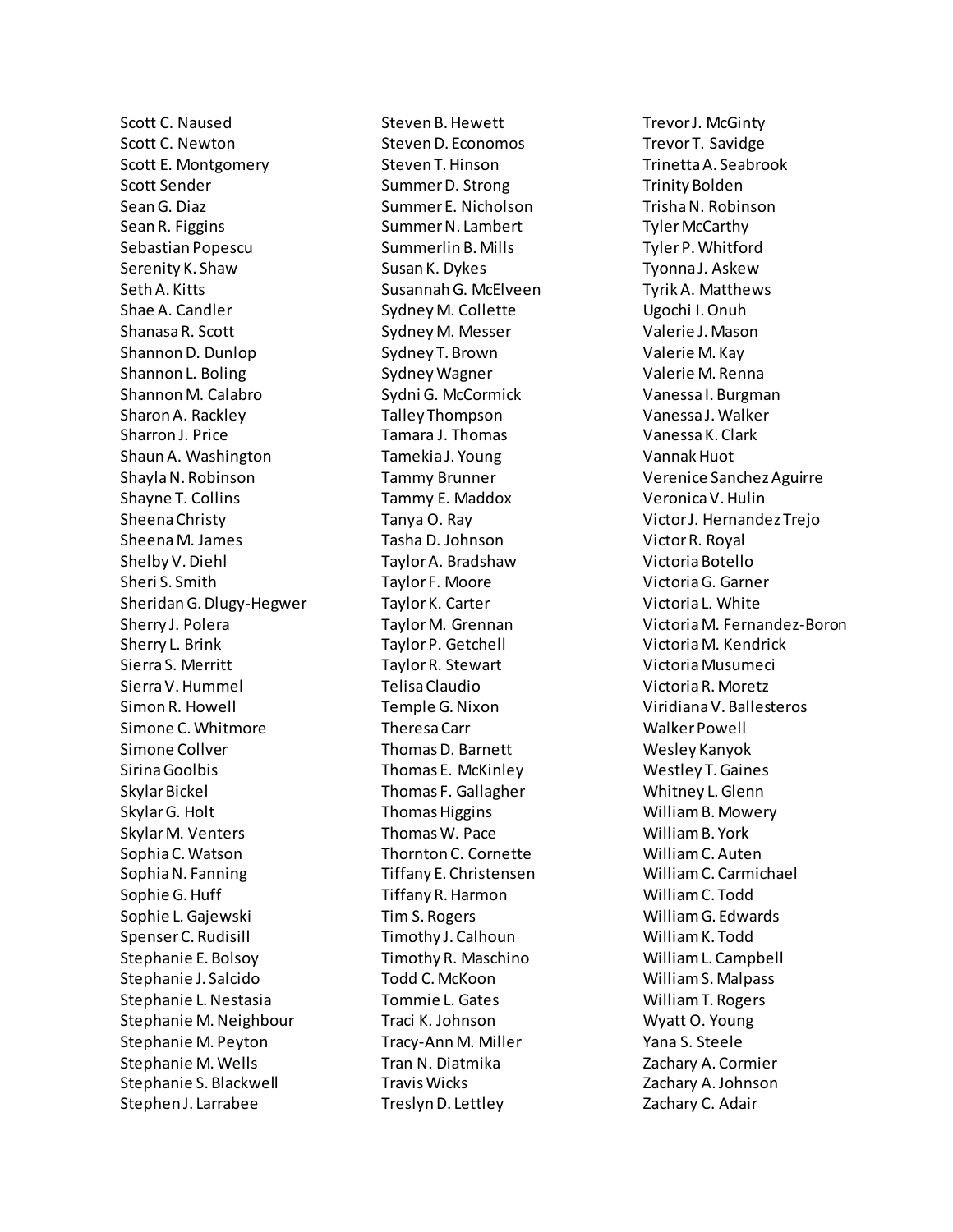Scott C. Naused Scott C. Newton Scott E. Montgomery Scott Sender Sean G. Diaz Sean R. Figgins Sebastian Popescu Serenity K. Shaw Seth A. Kitts Shae A. Candler ShanasaR. Scott Shannon D. Dunlop Shannon L. Boling Shannon M. Calabro Sharon A. Rackley Sharron J. Price Shaun A. Washington Shayla N. Robinson Shayne T. Collins Sheena Christy Sheena M. James Shelby V. Diehl Sheri S. Smith Sheridan G. Dlugy-Hegwer Sherry J. Polera Sherry L. Brink Sierra S. Merritt Sierra V. Hummel Simon R. Howell Simone C. Whitmore Simone Collver Sirina Goolbis Skylar Bickel Skylar G. Holt Skylar M. Venters Sophia C. Watson Sophia N. Fanning Sophie G. Huff Sophie L. Gajewski Spenser C. Rudisill Stephanie E. Bolsoy Stephanie J. Salcido Stephanie L. Nestasia Stephanie M. Neighbour Stephanie M. Peyton Stephanie M. Wells Stephanie S. Blackwell Stephen J. Larrabee

Steven B. Hewett Steven D. Economos Steven T. Hinson Summer D. Strong Summer E. Nicholson Summer N. Lambert Summerlin B. Mills Susan K. Dykes Susannah G. McElveen Sydney M. Collette Sydney M. Messer Sydney T. Brown Sydney Wagner Sydni G. McCormick Talley Thompson Tamara J. Thomas Tamekia J. Young Tammy Brunner Tammy E. Maddox Tanya O. Ray Tasha D. Johnson Taylor A. Bradshaw Taylor F. Moore Taylor K. Carter Taylor M. Grennan Taylor P. Getchell Taylor R. Stewart Telisa Claudio Temple G. Nixon Theresa Carr Thomas D. Barnett Thomas E. McKinley Thomas F. Gallagher Thomas Higgins Thomas W. Pace Thornton C. Cornette Tiffany E. Christensen Tiffany R. Harmon Tim S. Rogers Timothy J. Calhoun Timothy R. Maschino Todd C. McKoon Tommie L. Gates Traci K. Johnson Tracy-Ann M. Miller Tran N. Diatmika Travis Wicks Treslyn D. Lettley

Trevor J. McGinty Trevor T. Savidge Trinetta A. Seabrook Trinity Bolden Trisha N. Robinson Tyler McCarthy Tyler P. Whitford Tyonna J. Askew Tyrik A. Matthews Ugochi I. Onuh Valerie J. Mason Valerie M. Kay Valerie M. Renna Vanessa I. Burgman Vanessa J. Walker Vanessa K. Clark Vannak Huot Verenice Sanchez Aguirre Veronica V. Hulin Victor J. Hernandez Trejo Victor R. Royal Victoria Botello Victoria G. Garner Victoria L. White Victoria M. Fernandez-Boron Victoria M. Kendrick Victoria Musumeci Victoria R. Moretz Viridiana V. Ballesteros Walker Powell Wesley Kanyok Westley T. Gaines Whitney L. Glenn William B. Mowery William B. York William C. Auten William C. Carmichael William C. Todd William G. Edwards William K. Todd William L. Campbell William S. Malpass William T. Rogers Wyatt O. Young Yana S. Steele Zachary A. Cormier Zachary A. Johnson Zachary C. Adair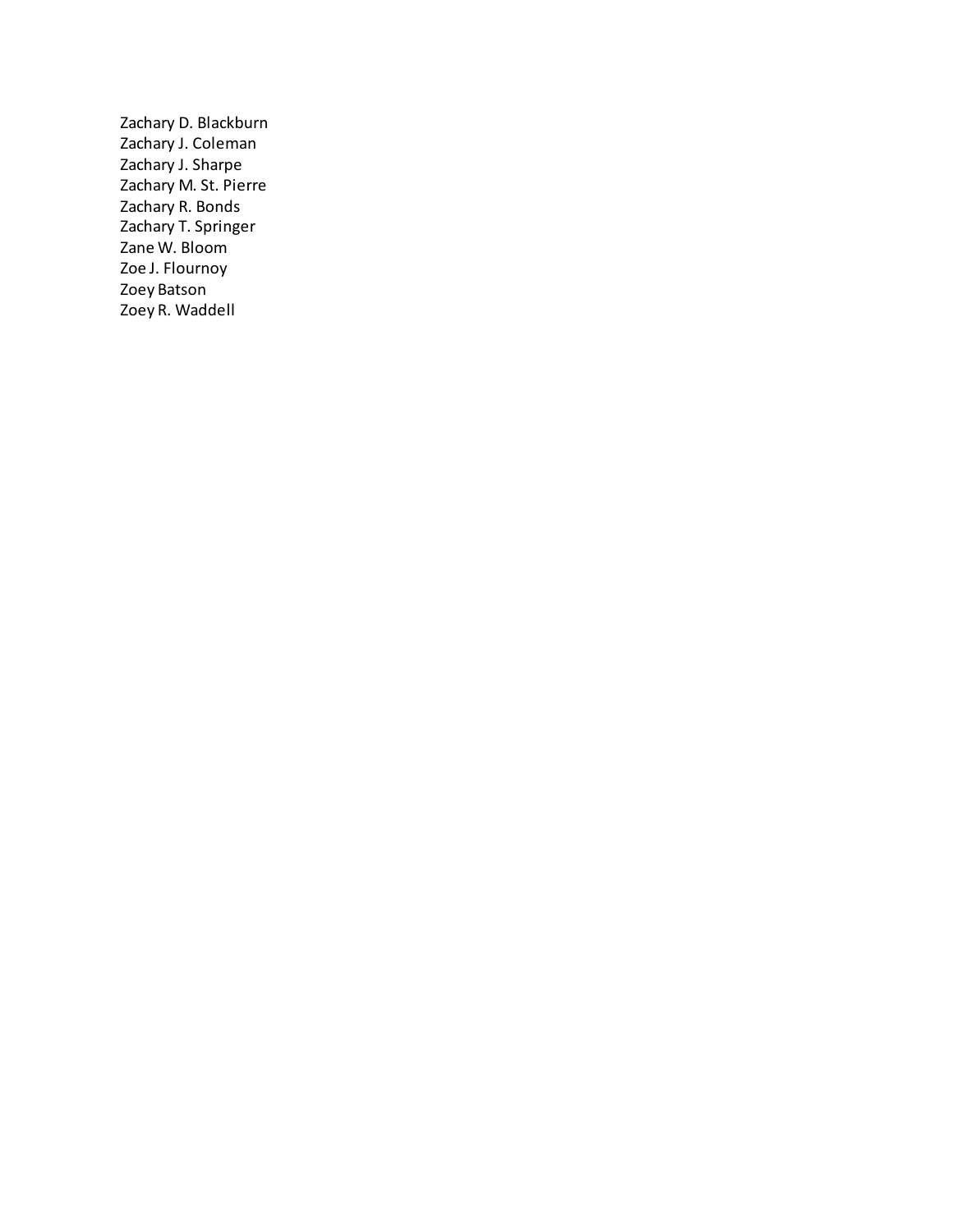Zachary D. Blackburn Zachary J. Coleman Zachary J. Sharpe Zachary M. St. Pierre Zachary R. Bonds Zachary T. Springer Zane W. Bloom Zoe J. Flournoy Zoey Batson Zoey R. Waddell